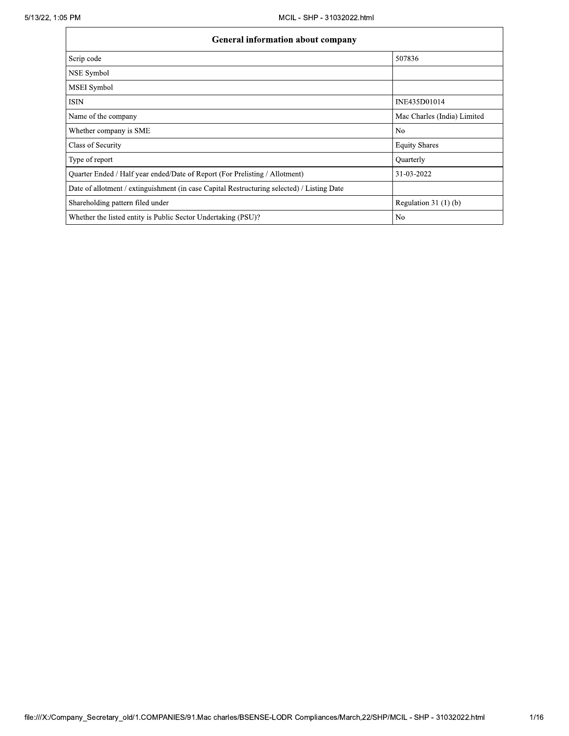| <b>General information about company</b>                                                   |                             |  |  |  |  |
|--------------------------------------------------------------------------------------------|-----------------------------|--|--|--|--|
| Scrip code                                                                                 | 507836                      |  |  |  |  |
| <b>NSE</b> Symbol                                                                          |                             |  |  |  |  |
| <b>MSEI</b> Symbol                                                                         |                             |  |  |  |  |
| <b>ISIN</b>                                                                                | INE435D01014                |  |  |  |  |
| Name of the company                                                                        | Mac Charles (India) Limited |  |  |  |  |
| Whether company is SME                                                                     | N <sub>0</sub>              |  |  |  |  |
| Class of Security                                                                          | <b>Equity Shares</b>        |  |  |  |  |
| Type of report                                                                             | Quarterly                   |  |  |  |  |
| Quarter Ended / Half year ended/Date of Report (For Prelisting / Allotment)                | 31-03-2022                  |  |  |  |  |
| Date of allotment / extinguishment (in case Capital Restructuring selected) / Listing Date |                             |  |  |  |  |
| Shareholding pattern filed under                                                           | Regulation $31(1)(b)$       |  |  |  |  |
| Whether the listed entity is Public Sector Undertaking (PSU)?                              | No                          |  |  |  |  |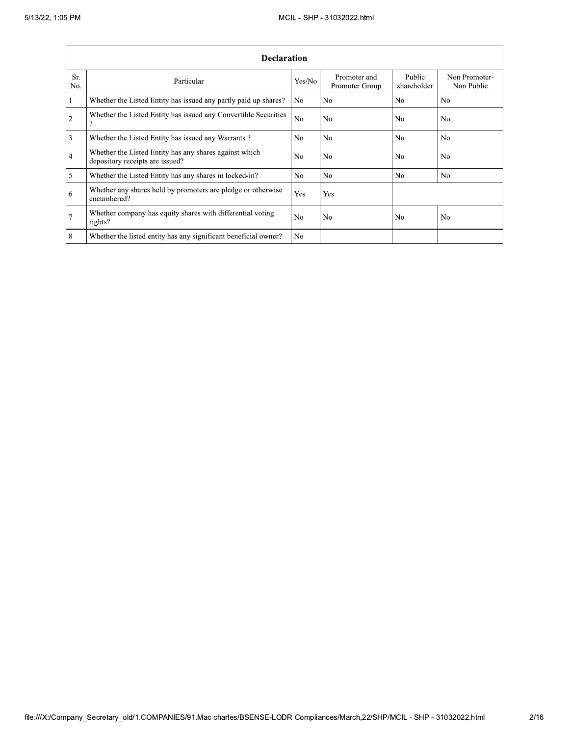|                 | <b>Declaration</b>                                                                        |                |                                |                       |                             |  |  |  |  |
|-----------------|-------------------------------------------------------------------------------------------|----------------|--------------------------------|-----------------------|-----------------------------|--|--|--|--|
| Sr.<br>No.      | Particular                                                                                | Yes/No         | Promoter and<br>Promoter Group | Public<br>shareholder | Non Promoter-<br>Non Public |  |  |  |  |
| 1               | Whether the Listed Entity has issued any partly paid up shares?                           | N <sub>o</sub> | N <sub>o</sub>                 | N <sub>0</sub>        | N <sub>o</sub>              |  |  |  |  |
| $\overline{2}$  | Whether the Listed Entity has issued any Convertible Securities<br>Ω                      | N <sub>o</sub> | No                             | N <sub>0</sub>        | N <sub>0</sub>              |  |  |  |  |
| 3               | Whether the Listed Entity has issued any Warrants?                                        | N <sub>0</sub> | N <sub>0</sub>                 | N <sub>0</sub>        | N <sub>0</sub>              |  |  |  |  |
| $\overline{4}$  | Whether the Listed Entity has any shares against which<br>depository receipts are issued? | N <sub>o</sub> | N <sub>0</sub>                 | N <sub>o</sub>        | N <sub>0</sub>              |  |  |  |  |
| 5               | Whether the Listed Entity has any shares in locked-in?                                    | N <sub>o</sub> | No                             | No                    | N <sub>0</sub>              |  |  |  |  |
| 6               | Whether any shares held by promoters are pledge or otherwise<br>encumbered?               | Yes            | Yes                            |                       |                             |  |  |  |  |
| $7\phantom{.0}$ | Whether company has equity shares with differential voting<br>rights?                     | N <sub>o</sub> | N <sub>0</sub>                 | N <sub>o</sub>        | N <sub>o</sub>              |  |  |  |  |
| 8               | Whether the listed entity has any significant beneficial owner?                           | N <sub>o</sub> |                                |                       |                             |  |  |  |  |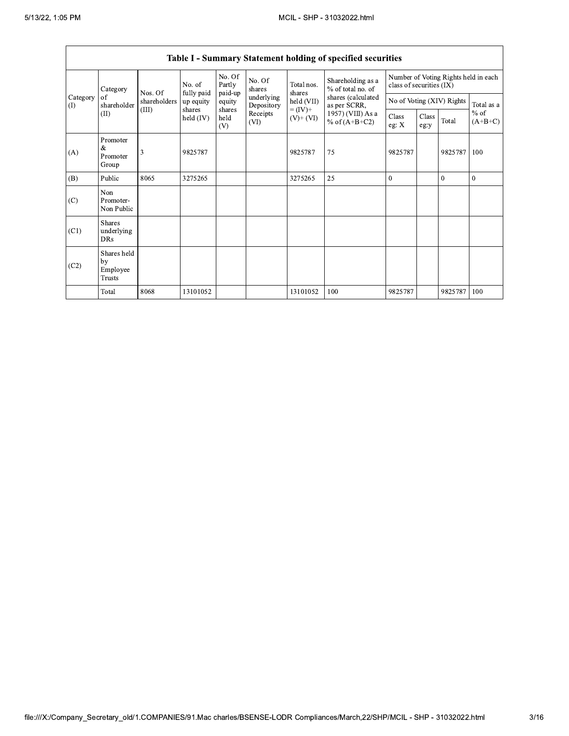|                 | $v$ williams.<br>statement notaing or specified securities |              |                      |                             |                          |                              |                                        |                                                                  |               |                           |                     |
|-----------------|------------------------------------------------------------|--------------|----------------------|-----------------------------|--------------------------|------------------------------|----------------------------------------|------------------------------------------------------------------|---------------|---------------------------|---------------------|
|                 | Category                                                   | Nos. Of      | No. of<br>fully paid | No. Of<br>Partly<br>paid-up | No. Of<br>shares         | Total nos.<br>shares         | Shareholding as a<br>% of total no. of | Number of Voting Rights held in each<br>class of securities (IX) |               |                           |                     |
| Category<br>(1) | of<br>shareholder                                          | shareholders | up equity            | equity                      | underlying<br>Depository | held (VII)                   | shares (calculated<br>as per SCRR,     |                                                                  |               | No of Voting (XIV) Rights | Total as a          |
|                 | (II)                                                       | (III)        | shares<br>held (IV)  | shares<br>held<br>(V)       | Receipts<br>(VI)         | $= (IV) +$<br>$(V)$ + $(VI)$ | 1957) (VIII) As a<br>% of $(A+B+C2)$   | Class<br>eg: $X$                                                 | Class<br>eg:y | Total                     | $%$ of<br>$(A+B+C)$ |
| (A)             | Promoter<br>&<br>Promoter<br>Group                         | 3            | 9825787              |                             |                          | 9825787                      | 75                                     | 9825787                                                          |               | 9825787                   | 100                 |
| (B)             | Public                                                     | 8065         | 3275265              |                             |                          | 3275265                      | 25                                     | $\theta$                                                         |               | $\theta$                  | $\theta$            |
| (C)             | Non<br>Promoter-<br>Non Public                             |              |                      |                             |                          |                              |                                        |                                                                  |               |                           |                     |
| (C1)            | Shares<br>underlying<br><b>DRs</b>                         |              |                      |                             |                          |                              |                                        |                                                                  |               |                           |                     |
| (C2)            | Shares held<br>by<br>Employee<br><b>Trusts</b>             |              |                      |                             |                          |                              |                                        |                                                                  |               |                           |                     |
|                 | Total                                                      | 8068         | 13101052             |                             |                          | 13101052                     | 100                                    | 9825787                                                          |               | 9825787                   | 100                 |

## Table I - Summary Statement holding of specified securities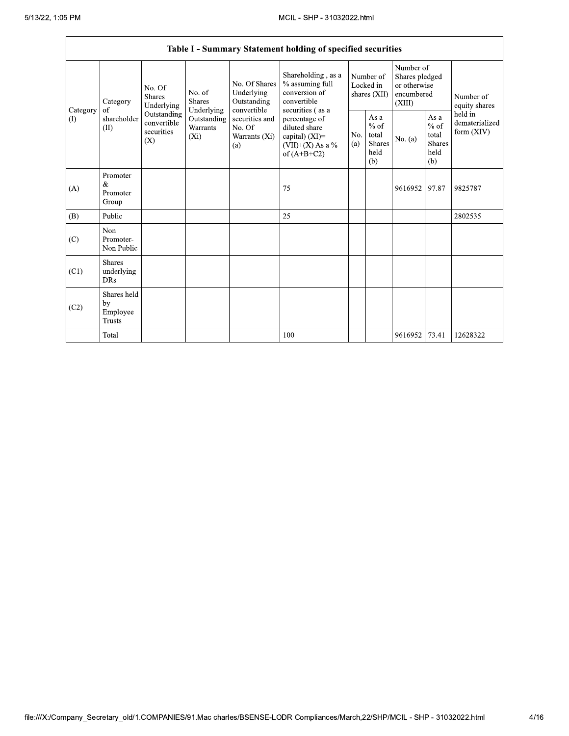|                 | Table I - Summary Statement holding of specified securities |                                                 |                                                  |                                                           |                                                                                                              |                                        |                                                         |                                                                     |                                                         |                                         |
|-----------------|-------------------------------------------------------------|-------------------------------------------------|--------------------------------------------------|-----------------------------------------------------------|--------------------------------------------------------------------------------------------------------------|----------------------------------------|---------------------------------------------------------|---------------------------------------------------------------------|---------------------------------------------------------|-----------------------------------------|
|                 | Category                                                    | No. Of<br>Shares<br>Underlying                  | No. of<br>Shares                                 | No. Of Shares<br>Underlying<br>Outstanding<br>convertible | Shareholding, as a<br>% assuming full<br>conversion of<br>convertible                                        | Number of<br>Locked in<br>shares (XII) |                                                         | Number of<br>Shares pledged<br>or otherwise<br>encumbered<br>(XIII) |                                                         | Number of<br>equity shares              |
| Category<br>(1) | of<br>shareholder<br>(II)                                   | Outstanding<br>convertible<br>securities<br>(X) | Underlying<br>Outstanding<br>Warrants<br>$(X_i)$ | securities and<br>No. Of<br>Warrants (Xi)<br>(a)          | securities (as a<br>percentage of<br>diluted share<br>capital) $(XI)$ =<br>(VII)+(X) As a %<br>of $(A+B+C2)$ | No.<br>(a)                             | As a<br>$%$ of<br>total<br><b>Shares</b><br>held<br>(b) | No. (a)                                                             | As a<br>$%$ of<br>total<br><b>Shares</b><br>held<br>(b) | held in<br>dematerialized<br>form (XIV) |
| (A)             | Promoter<br>&<br>Promoter<br>Group                          |                                                 |                                                  |                                                           | 75                                                                                                           |                                        |                                                         | 9616952                                                             | 97.87                                                   | 9825787                                 |
| (B)             | Public                                                      |                                                 |                                                  |                                                           | 25                                                                                                           |                                        |                                                         |                                                                     |                                                         | 2802535                                 |
| (C)             | Non<br>Promoter-<br>Non Public                              |                                                 |                                                  |                                                           |                                                                                                              |                                        |                                                         |                                                                     |                                                         |                                         |
| (C1)            | <b>Shares</b><br>underlying<br><b>DRs</b>                   |                                                 |                                                  |                                                           |                                                                                                              |                                        |                                                         |                                                                     |                                                         |                                         |
| (C2)            | Shares held<br>by<br>Employee<br>Trusts                     |                                                 |                                                  |                                                           |                                                                                                              |                                        |                                                         |                                                                     |                                                         |                                         |
|                 | Total                                                       |                                                 |                                                  |                                                           | 100                                                                                                          |                                        |                                                         | 9616952                                                             | 73.41                                                   | 12628322                                |

٦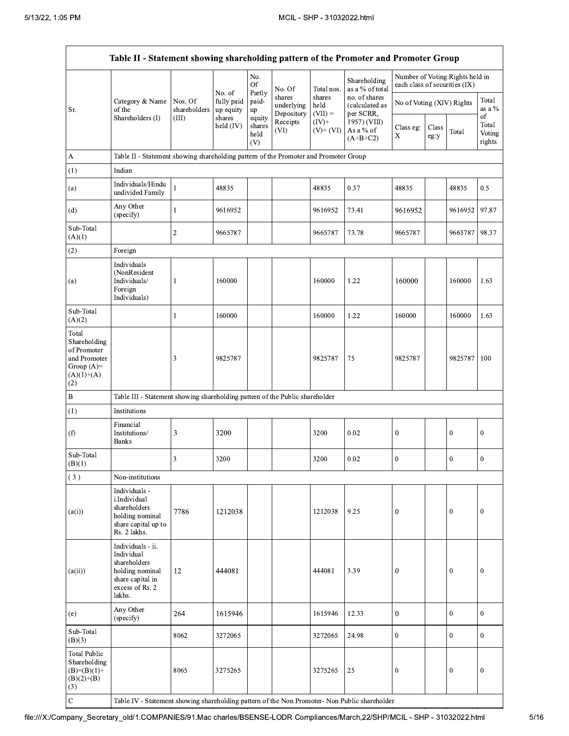|                                                                                             | Table II - Statement showing shareholding pattern of the Promoter and Promoter Group                                |                                  |                                             |                                 |                                    |                             |                                              |                               |               |                                 |                           |
|---------------------------------------------------------------------------------------------|---------------------------------------------------------------------------------------------------------------------|----------------------------------|---------------------------------------------|---------------------------------|------------------------------------|-----------------------------|----------------------------------------------|-------------------------------|---------------|---------------------------------|---------------------------|
|                                                                                             |                                                                                                                     |                                  |                                             | No.<br><b>Of</b>                | No. Of                             | Total nos.                  | Shareholding<br>as a % of total              | each class of securities (IX) |               | Number of Voting Rights held in |                           |
| Sr.                                                                                         | Category & Name<br>of the<br>Shareholders (I)                                                                       | Nos. Of<br>shareholders<br>(III) | No. of<br>fully paid<br>up equity<br>shares | Partly<br>paid-<br>up<br>equity | shares<br>underlying<br>Depository | shares<br>held<br>$(VII) =$ | no. of shares<br>(calculated as<br>per SCRR, | No of Voting (XIV) Rights     |               |                                 | Total<br>as a %<br>of     |
|                                                                                             |                                                                                                                     |                                  | held (IV)                                   | shares<br>held<br>(V)           | Receipts<br>(VI)                   | $(IV)+$<br>$(V)+(VI)$       | 1957) (VIII)<br>As a % of<br>$(A+B+C2)$      | Class eg:<br>X                | Class<br>eg:y | Total                           | Total<br>Voting<br>rights |
| A                                                                                           | Table II - Statement showing shareholding pattern of the Promoter and Promoter Group                                |                                  |                                             |                                 |                                    |                             |                                              |                               |               |                                 |                           |
| (1)                                                                                         | Indian                                                                                                              |                                  |                                             |                                 |                                    |                             |                                              |                               |               |                                 |                           |
| (a)                                                                                         | Individuals/Hindu<br>undivided Family                                                                               | 1                                | 48835                                       |                                 |                                    | 48835                       | 0.37                                         | 48835                         |               | 48835                           | 0.5                       |
| (d)                                                                                         | Any Other<br>(specify)                                                                                              | $\mathbf{1}$                     | 9616952                                     |                                 |                                    | 9616952                     | 73.41                                        | 9616952                       |               | 9616952                         | 97.87                     |
| Sub-Total<br>(A)(1)                                                                         |                                                                                                                     | $\boldsymbol{2}$                 | 9665787                                     |                                 |                                    | 9665787                     | 73.78                                        | 9665787                       |               | 9665787                         | 98.37                     |
| (2)                                                                                         | Foreign                                                                                                             |                                  |                                             |                                 |                                    |                             |                                              |                               |               |                                 |                           |
| (a)                                                                                         | Individuals<br>(NonResident<br>Individuals/<br>Foreign<br>Individuals)                                              | 1                                | 160000                                      |                                 |                                    | 160000                      | 1.22                                         | 160000                        |               | 160000                          | 1.63                      |
| Sub-Total<br>(A)(2)                                                                         |                                                                                                                     | 1                                | 160000                                      |                                 |                                    | 160000                      | 1.22                                         | 160000                        |               | 160000                          | 1.63                      |
| Total<br>Shareholding<br>of Promoter<br>and Promoter<br>Group $(A)=$<br>$(A)(1)+(A)$<br>(2) |                                                                                                                     | 3                                | 9825787                                     |                                 |                                    | 9825787                     | 75                                           | 9825787                       |               | 9825787                         | 100                       |
| $\, {\bf B}$                                                                                | Table III - Statement showing shareholding pattern of the Public shareholder                                        |                                  |                                             |                                 |                                    |                             |                                              |                               |               |                                 |                           |
| (1)                                                                                         | Institutions                                                                                                        |                                  |                                             |                                 |                                    |                             |                                              |                               |               |                                 |                           |
| (f)                                                                                         | Financial<br>Institutions/<br><b>Banks</b>                                                                          | $\mathfrak{Z}$                   | 3200                                        |                                 |                                    | 3200                        | 0.02                                         | $\boldsymbol{0}$              |               | $\boldsymbol{0}$                | $\boldsymbol{0}$          |
| Sub-Total<br>(B)(1)                                                                         |                                                                                                                     | 3                                | 3200                                        |                                 |                                    | 3200                        | 0.02                                         | $\mathbf{0}$                  |               | $\mathbf{0}$                    | $\mathbf{0}$              |
| (3)                                                                                         | Non-institutions                                                                                                    |                                  |                                             |                                 |                                    |                             |                                              |                               |               |                                 |                           |
| (a(i))                                                                                      | Individuals -<br>i.Individual<br>shareholders<br>holding nominal<br>share capital up to<br>Rs. 2 lakhs.             | 7786                             | 1212038                                     |                                 |                                    | 1212038                     | 9.25                                         | $\boldsymbol{0}$              |               | $\boldsymbol{0}$                | $\boldsymbol{0}$          |
| (a(ii))                                                                                     | Individuals - ii.<br>Individual<br>shareholders<br>holding nominal<br>share capital in<br>excess of Rs. 2<br>lakhs. | 12                               | 444081                                      |                                 |                                    | 444081                      | 3.39                                         | $\mathbf{0}$                  |               | $\mathbf{0}$                    | $\mathbf{0}$              |
| (e)                                                                                         | Any Other<br>(specify)                                                                                              | 264                              | 1615946                                     |                                 |                                    | 1615946                     | 12.33                                        | $\bf{0}$                      |               | $\overline{0}$                  | $\boldsymbol{0}$          |
| Sub-Total<br>(B)(3)                                                                         |                                                                                                                     | 8062                             | 3272065                                     |                                 |                                    | 3272065                     | 24.98                                        | $\mathbf{0}$                  |               | $\mathbf{0}$                    | $\boldsymbol{0}$          |
| <b>Total Public</b><br>Shareholding<br>$(B)= (B)(1) +$<br>$(B)(2)+(B)$<br>(3)               |                                                                                                                     | 8065                             | 3275265                                     |                                 |                                    | 3275265                     | 25                                           | $\boldsymbol{0}$              |               | $\mathbf{0}$                    | $\boldsymbol{0}$          |
| $\mathbf C$                                                                                 | Table IV - Statement showing shareholding pattern of the Non Promoter- Non Public shareholder                       |                                  |                                             |                                 |                                    |                             |                                              |                               |               |                                 |                           |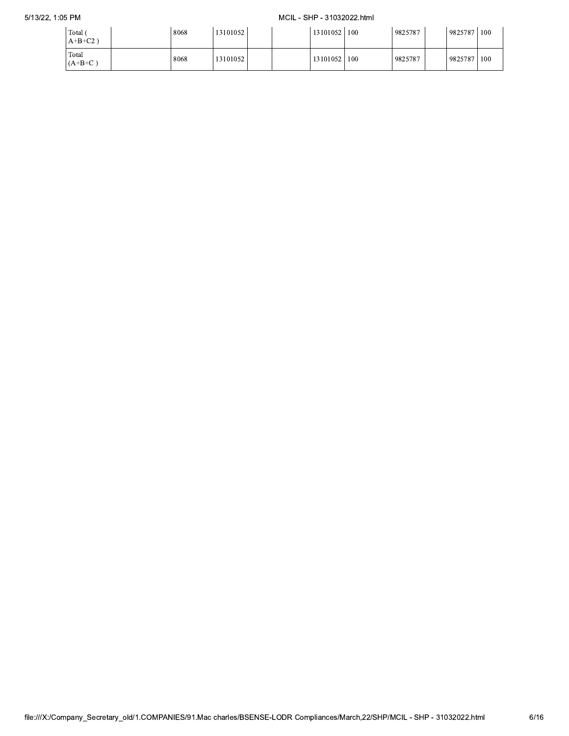## MCIL - SHP - 31032022.html

| Total<br>$A+B+C2$ ) | 8068 | 131010521 |  | 13101052 | 100 | 9825787 | 9825787 | 100 |
|---------------------|------|-----------|--|----------|-----|---------|---------|-----|
| Total<br>$(A+B+C)$  | 8068 | 13101052  |  | 13101052 | 100 | 9825787 | 9825787 | 100 |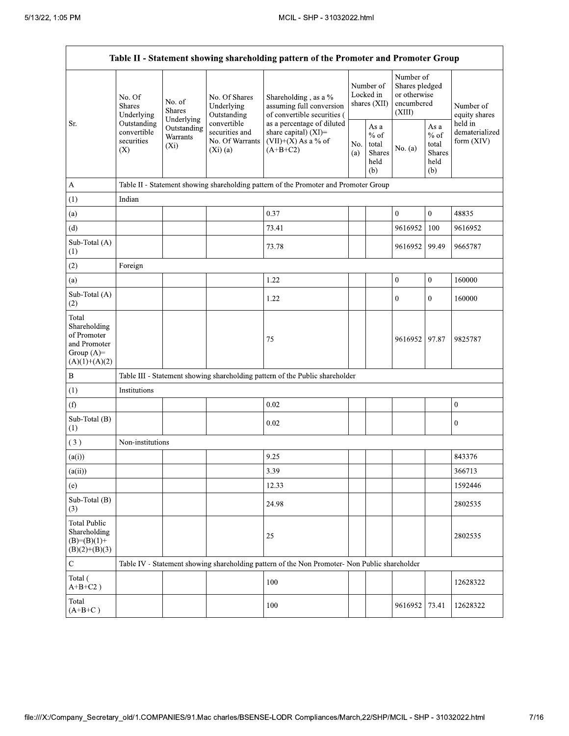| Table II - Statement showing shareholding pattern of the Promoter and Promoter Group    |                                                 |                                       |                                                                  |                                                                                                                                                                                  |            |                                                            |                                                                     |                                                  |                                         |
|-----------------------------------------------------------------------------------------|-------------------------------------------------|---------------------------------------|------------------------------------------------------------------|----------------------------------------------------------------------------------------------------------------------------------------------------------------------------------|------------|------------------------------------------------------------|---------------------------------------------------------------------|--------------------------------------------------|-----------------------------------------|
|                                                                                         | No. Of<br><b>Shares</b><br>Underlying           | No. of<br><b>Shares</b><br>Underlying | No. Of Shares<br>Underlying<br>Outstanding                       | Shareholding , as a $\%$<br>assuming full conversion<br>of convertible securities (<br>as a percentage of diluted<br>share capital) (XI)=<br>$(VII)+(X)$ As a % of<br>$(A+B+C2)$ |            | Number of<br>Locked in<br>shares $(XII)$                   | Number of<br>Shares pledged<br>or otherwise<br>encumbered<br>(XIII) |                                                  | Number of<br>equity shares              |
| Sr.                                                                                     | Outstanding<br>convertible<br>securities<br>(X) | Outstanding<br>Warrants<br>$(X_i)$    | convertible<br>securities and<br>No. Of Warrants<br>$(Xi)$ $(a)$ |                                                                                                                                                                                  | No.<br>(a) | As $\mathbf a$<br>$%$ of<br>total<br>Shares<br>held<br>(b) | No. (a)                                                             | As a<br>$%$ of<br>total<br>Shares<br>held<br>(b) | held in<br>dematerialized<br>form (XIV) |
| A                                                                                       |                                                 |                                       |                                                                  | Table II - Statement showing shareholding pattern of the Promoter and Promoter Group                                                                                             |            |                                                            |                                                                     |                                                  |                                         |
| (1)                                                                                     | Indian                                          |                                       |                                                                  |                                                                                                                                                                                  |            |                                                            |                                                                     |                                                  |                                         |
| (a)                                                                                     |                                                 |                                       |                                                                  | 0.37                                                                                                                                                                             |            |                                                            | $\mathbf{0}$                                                        | $\mathbf{0}$                                     | 48835                                   |
| (d)                                                                                     |                                                 |                                       |                                                                  | 73.41                                                                                                                                                                            |            |                                                            | 9616952                                                             | 100                                              | 9616952                                 |
| Sub-Total (A)<br>(1)                                                                    |                                                 |                                       |                                                                  | 73.78                                                                                                                                                                            |            |                                                            | 9616952                                                             | 99.49                                            | 9665787                                 |
| (2)                                                                                     | Foreign                                         |                                       |                                                                  |                                                                                                                                                                                  |            |                                                            |                                                                     |                                                  |                                         |
| (a)                                                                                     |                                                 |                                       |                                                                  | 1.22                                                                                                                                                                             |            |                                                            | $\boldsymbol{0}$                                                    | $\boldsymbol{0}$                                 | 160000                                  |
| Sub-Total (A)<br>(2)                                                                    |                                                 |                                       |                                                                  | 1.22                                                                                                                                                                             |            |                                                            | $\mathbf{0}$                                                        | $\mathbf{0}$                                     | 160000                                  |
| Total<br>Shareholding<br>of Promoter<br>and Promoter<br>Group $(A)=$<br>$(A)(1)+(A)(2)$ |                                                 |                                       |                                                                  | 75                                                                                                                                                                               |            |                                                            | 9616952                                                             | 97.87                                            | 9825787                                 |
| $\, {\bf B}$                                                                            |                                                 |                                       |                                                                  | Table III - Statement showing shareholding pattern of the Public shareholder                                                                                                     |            |                                                            |                                                                     |                                                  |                                         |
| (1)                                                                                     | Institutions                                    |                                       |                                                                  |                                                                                                                                                                                  |            |                                                            |                                                                     |                                                  |                                         |
| (f)                                                                                     |                                                 |                                       |                                                                  | 0.02                                                                                                                                                                             |            |                                                            |                                                                     |                                                  | $\mathbf{0}$                            |
| Sub-Total (B)<br>(1)                                                                    |                                                 |                                       |                                                                  | 0.02                                                                                                                                                                             |            |                                                            |                                                                     |                                                  | $\boldsymbol{0}$                        |
| (3)                                                                                     | Non-institutions                                |                                       |                                                                  |                                                                                                                                                                                  |            |                                                            |                                                                     |                                                  |                                         |
| (a(i))                                                                                  |                                                 |                                       |                                                                  | 9.25                                                                                                                                                                             |            |                                                            |                                                                     |                                                  | 843376                                  |
| (a(ii))                                                                                 |                                                 |                                       |                                                                  | 3.39                                                                                                                                                                             |            |                                                            |                                                                     |                                                  | 366713                                  |
| (e)                                                                                     |                                                 |                                       |                                                                  | 12.33                                                                                                                                                                            |            |                                                            |                                                                     |                                                  | 1592446                                 |
| Sub-Total (B)<br>(3)                                                                    |                                                 |                                       |                                                                  | 24.98                                                                                                                                                                            |            |                                                            |                                                                     |                                                  | 2802535                                 |
| <b>Total Public</b><br>Shareholding<br>$(B)=(B)(1)+$<br>$(B)(2)+(B)(3)$                 |                                                 |                                       |                                                                  | 25                                                                                                                                                                               |            |                                                            |                                                                     |                                                  | 2802535                                 |
| ${\bf C}$                                                                               |                                                 |                                       |                                                                  | Table IV - Statement showing shareholding pattern of the Non Promoter- Non Public shareholder                                                                                    |            |                                                            |                                                                     |                                                  |                                         |
| Total (<br>$A+B+C2$ )                                                                   |                                                 |                                       |                                                                  | 100                                                                                                                                                                              |            |                                                            |                                                                     |                                                  | 12628322                                |
| Total<br>$(A+B+C)$                                                                      |                                                 |                                       |                                                                  | 100                                                                                                                                                                              |            |                                                            | 9616952                                                             | 73.41                                            | 12628322                                |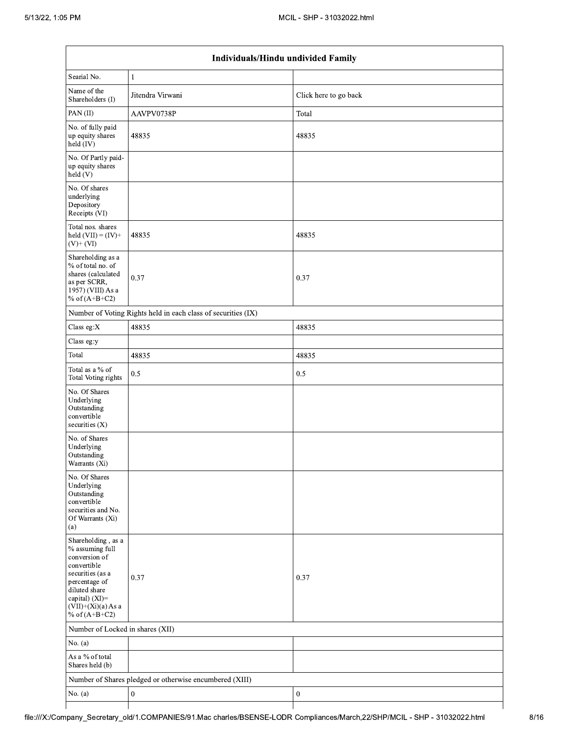| Individuals/Hindu undivided Family                                                                                                                                                       |                                                               |                       |  |  |  |  |  |  |
|------------------------------------------------------------------------------------------------------------------------------------------------------------------------------------------|---------------------------------------------------------------|-----------------------|--|--|--|--|--|--|
| Searial No.                                                                                                                                                                              | $\mathbf{1}$                                                  |                       |  |  |  |  |  |  |
| Name of the<br>Shareholders (I)                                                                                                                                                          | Jitendra Virwani                                              | Click here to go back |  |  |  |  |  |  |
| PAN(II)                                                                                                                                                                                  | AAVPV0738P                                                    | Total                 |  |  |  |  |  |  |
| No. of fully paid<br>up equity shares<br>held (IV)                                                                                                                                       | 48835                                                         | 48835                 |  |  |  |  |  |  |
| No. Of Partly paid-<br>up equity shares<br>held(V)                                                                                                                                       |                                                               |                       |  |  |  |  |  |  |
| No. Of shares<br>underlying<br>Depository<br>Receipts (VI)                                                                                                                               |                                                               |                       |  |  |  |  |  |  |
| Total nos. shares<br>held $(VII) = (IV) +$<br>$(V)+(VI)$                                                                                                                                 | 48835                                                         | 48835                 |  |  |  |  |  |  |
| Shareholding as a<br>% of total no. of<br>shares (calculated<br>as per SCRR,<br>1957) (VIII) As a<br>% of $(A+B+C2)$                                                                     | 0.37                                                          | 0.37                  |  |  |  |  |  |  |
|                                                                                                                                                                                          | Number of Voting Rights held in each class of securities (IX) |                       |  |  |  |  |  |  |
| Class eg:X                                                                                                                                                                               | 48835                                                         | 48835                 |  |  |  |  |  |  |
| Class eg:y                                                                                                                                                                               |                                                               |                       |  |  |  |  |  |  |
| Total                                                                                                                                                                                    | 48835                                                         | 48835                 |  |  |  |  |  |  |
| Total as a % of<br>Total Voting rights                                                                                                                                                   | 0.5                                                           | 0.5                   |  |  |  |  |  |  |
| No. Of Shares<br>Underlying<br>Outstanding<br>convertible<br>securities $(X)$                                                                                                            |                                                               |                       |  |  |  |  |  |  |
| No. of Shares<br>Underlying<br>Outstanding<br>Warrants (Xi)                                                                                                                              |                                                               |                       |  |  |  |  |  |  |
| No. Of Shares<br>Underlying<br>Outstanding<br>convertible<br>securities and No.<br>Of Warrants (Xi)<br>(a)                                                                               |                                                               |                       |  |  |  |  |  |  |
| Shareholding, as a<br>% assuming full<br>conversion of<br>convertible<br>securities (as a<br>percentage of<br>diluted share<br>capital) (XI)=<br>$(VII)+(Xi)(a)$ As a<br>% of $(A+B+C2)$ | 0.37                                                          | 0.37                  |  |  |  |  |  |  |
| Number of Locked in shares (XII)                                                                                                                                                         |                                                               |                       |  |  |  |  |  |  |
| No. (a)                                                                                                                                                                                  |                                                               |                       |  |  |  |  |  |  |
| As a % of total<br>Shares held (b)                                                                                                                                                       |                                                               |                       |  |  |  |  |  |  |
|                                                                                                                                                                                          | Number of Shares pledged or otherwise encumbered (XIII)       |                       |  |  |  |  |  |  |
| No. $(a)$                                                                                                                                                                                | $\boldsymbol{0}$                                              | $\boldsymbol{0}$      |  |  |  |  |  |  |

┯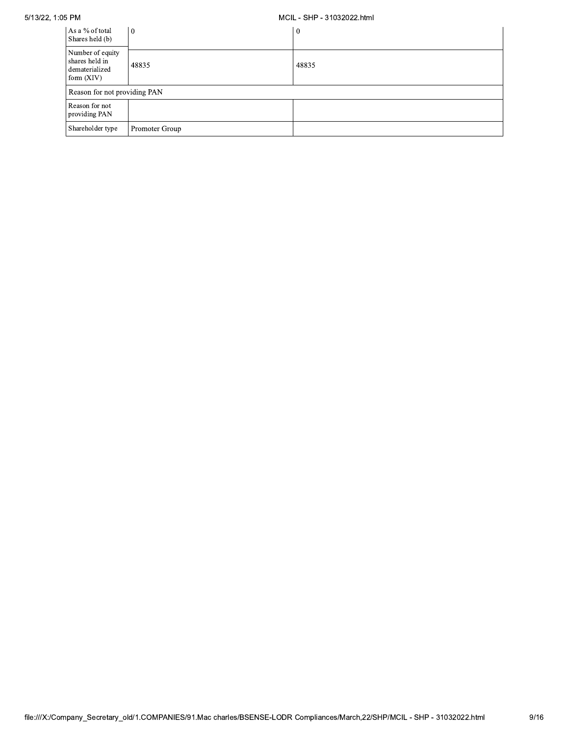5/13/22, 1:05 PM

## MCIL - SHP - 31032022.html

| As a % of total<br>Shares held (b)                                   | l 0            | $\mathbf{0}$ |
|----------------------------------------------------------------------|----------------|--------------|
| Number of equity<br>shares held in<br>dematerialized<br>form $(XIV)$ | 48835          | 48835        |
| Reason for not providing PAN                                         |                |              |
| Reason for not<br>providing PAN                                      |                |              |
| Shareholder type                                                     | Promoter Group |              |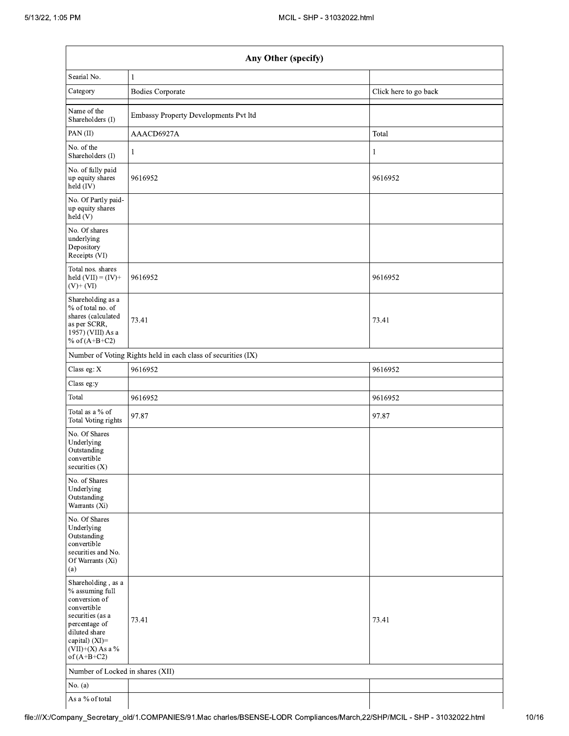| Searial No.<br>1<br>Category<br><b>Bodies Corporate</b><br>Click here to go back<br>Name of the<br>Embassy Property Developments Pvt ltd<br>Shareholders (I)<br>PAN(II)<br>AAACD6927A<br>Total<br>No. of the<br>1<br>1<br>Shareholders (I)<br>No. of fully paid<br>9616952<br>up equity shares<br>9616952<br>$held$ (IV)<br>No. Of Partly paid-<br>up equity shares<br>held(V)<br>No. Of shares<br>underlying<br>Depository<br>Receipts (VI)<br>Total nos. shares<br>9616952<br>9616952<br>held $(VII) = (IV) +$<br>$(V)+(VI)$<br>Shareholding as a<br>% of total no. of<br>shares (calculated<br>73.41<br>73.41<br>as per SCRR,<br>1957) (VIII) As a<br>% of $(A+B+C2)$<br>Number of Voting Rights held in each class of securities (IX)<br>Class eg: X<br>9616952<br>9616952<br>Class eg:y<br>Total<br>9616952<br>9616952<br>Total as a $\%$ of<br>97.87<br>97.87<br>Total Voting rights<br>No. Of Shares<br>Underlying<br>Outstanding<br>convertible<br>securities $(X)$<br>No. of Shares<br>Underlying<br>Outstanding<br>Warrants (Xi)<br>No. Of Shares<br>Underlying<br>Outstanding<br>convertible<br>securities and No.<br>Of Warrants (Xi)<br>(a)<br>Shareholding, as a<br>% assuming full<br>conversion of<br>convertible<br>securities (as a<br>73.41<br>73.41<br>percentage of<br>diluted share<br>capital) (XI)=<br>$(VII)+(X)$ As a %<br>of $(A+B+C2)$<br>Number of Locked in shares (XII)<br>No. $(a)$<br>As a % of total | Any Other (specify) |  |  |  |  |  |  |
|----------------------------------------------------------------------------------------------------------------------------------------------------------------------------------------------------------------------------------------------------------------------------------------------------------------------------------------------------------------------------------------------------------------------------------------------------------------------------------------------------------------------------------------------------------------------------------------------------------------------------------------------------------------------------------------------------------------------------------------------------------------------------------------------------------------------------------------------------------------------------------------------------------------------------------------------------------------------------------------------------------------------------------------------------------------------------------------------------------------------------------------------------------------------------------------------------------------------------------------------------------------------------------------------------------------------------------------------------------------------------------------------------------------------------------------|---------------------|--|--|--|--|--|--|
|                                                                                                                                                                                                                                                                                                                                                                                                                                                                                                                                                                                                                                                                                                                                                                                                                                                                                                                                                                                                                                                                                                                                                                                                                                                                                                                                                                                                                                        |                     |  |  |  |  |  |  |
|                                                                                                                                                                                                                                                                                                                                                                                                                                                                                                                                                                                                                                                                                                                                                                                                                                                                                                                                                                                                                                                                                                                                                                                                                                                                                                                                                                                                                                        |                     |  |  |  |  |  |  |
|                                                                                                                                                                                                                                                                                                                                                                                                                                                                                                                                                                                                                                                                                                                                                                                                                                                                                                                                                                                                                                                                                                                                                                                                                                                                                                                                                                                                                                        |                     |  |  |  |  |  |  |
|                                                                                                                                                                                                                                                                                                                                                                                                                                                                                                                                                                                                                                                                                                                                                                                                                                                                                                                                                                                                                                                                                                                                                                                                                                                                                                                                                                                                                                        |                     |  |  |  |  |  |  |
|                                                                                                                                                                                                                                                                                                                                                                                                                                                                                                                                                                                                                                                                                                                                                                                                                                                                                                                                                                                                                                                                                                                                                                                                                                                                                                                                                                                                                                        |                     |  |  |  |  |  |  |
|                                                                                                                                                                                                                                                                                                                                                                                                                                                                                                                                                                                                                                                                                                                                                                                                                                                                                                                                                                                                                                                                                                                                                                                                                                                                                                                                                                                                                                        |                     |  |  |  |  |  |  |
|                                                                                                                                                                                                                                                                                                                                                                                                                                                                                                                                                                                                                                                                                                                                                                                                                                                                                                                                                                                                                                                                                                                                                                                                                                                                                                                                                                                                                                        |                     |  |  |  |  |  |  |
| npany_Secretary_old/1.COMPANIES/91.Mac charles/BSENSE-LODR Compliances/March,22/SHP/MCIL - SHP - 31032022.html                                                                                                                                                                                                                                                                                                                                                                                                                                                                                                                                                                                                                                                                                                                                                                                                                                                                                                                                                                                                                                                                                                                                                                                                                                                                                                                         |                     |  |  |  |  |  |  |
|                                                                                                                                                                                                                                                                                                                                                                                                                                                                                                                                                                                                                                                                                                                                                                                                                                                                                                                                                                                                                                                                                                                                                                                                                                                                                                                                                                                                                                        |                     |  |  |  |  |  |  |
|                                                                                                                                                                                                                                                                                                                                                                                                                                                                                                                                                                                                                                                                                                                                                                                                                                                                                                                                                                                                                                                                                                                                                                                                                                                                                                                                                                                                                                        |                     |  |  |  |  |  |  |
|                                                                                                                                                                                                                                                                                                                                                                                                                                                                                                                                                                                                                                                                                                                                                                                                                                                                                                                                                                                                                                                                                                                                                                                                                                                                                                                                                                                                                                        |                     |  |  |  |  |  |  |
|                                                                                                                                                                                                                                                                                                                                                                                                                                                                                                                                                                                                                                                                                                                                                                                                                                                                                                                                                                                                                                                                                                                                                                                                                                                                                                                                                                                                                                        |                     |  |  |  |  |  |  |
|                                                                                                                                                                                                                                                                                                                                                                                                                                                                                                                                                                                                                                                                                                                                                                                                                                                                                                                                                                                                                                                                                                                                                                                                                                                                                                                                                                                                                                        |                     |  |  |  |  |  |  |
|                                                                                                                                                                                                                                                                                                                                                                                                                                                                                                                                                                                                                                                                                                                                                                                                                                                                                                                                                                                                                                                                                                                                                                                                                                                                                                                                                                                                                                        |                     |  |  |  |  |  |  |
|                                                                                                                                                                                                                                                                                                                                                                                                                                                                                                                                                                                                                                                                                                                                                                                                                                                                                                                                                                                                                                                                                                                                                                                                                                                                                                                                                                                                                                        |                     |  |  |  |  |  |  |
|                                                                                                                                                                                                                                                                                                                                                                                                                                                                                                                                                                                                                                                                                                                                                                                                                                                                                                                                                                                                                                                                                                                                                                                                                                                                                                                                                                                                                                        |                     |  |  |  |  |  |  |
|                                                                                                                                                                                                                                                                                                                                                                                                                                                                                                                                                                                                                                                                                                                                                                                                                                                                                                                                                                                                                                                                                                                                                                                                                                                                                                                                                                                                                                        |                     |  |  |  |  |  |  |
|                                                                                                                                                                                                                                                                                                                                                                                                                                                                                                                                                                                                                                                                                                                                                                                                                                                                                                                                                                                                                                                                                                                                                                                                                                                                                                                                                                                                                                        |                     |  |  |  |  |  |  |
|                                                                                                                                                                                                                                                                                                                                                                                                                                                                                                                                                                                                                                                                                                                                                                                                                                                                                                                                                                                                                                                                                                                                                                                                                                                                                                                                                                                                                                        |                     |  |  |  |  |  |  |
|                                                                                                                                                                                                                                                                                                                                                                                                                                                                                                                                                                                                                                                                                                                                                                                                                                                                                                                                                                                                                                                                                                                                                                                                                                                                                                                                                                                                                                        |                     |  |  |  |  |  |  |
|                                                                                                                                                                                                                                                                                                                                                                                                                                                                                                                                                                                                                                                                                                                                                                                                                                                                                                                                                                                                                                                                                                                                                                                                                                                                                                                                                                                                                                        |                     |  |  |  |  |  |  |
|                                                                                                                                                                                                                                                                                                                                                                                                                                                                                                                                                                                                                                                                                                                                                                                                                                                                                                                                                                                                                                                                                                                                                                                                                                                                                                                                                                                                                                        |                     |  |  |  |  |  |  |
|                                                                                                                                                                                                                                                                                                                                                                                                                                                                                                                                                                                                                                                                                                                                                                                                                                                                                                                                                                                                                                                                                                                                                                                                                                                                                                                                                                                                                                        |                     |  |  |  |  |  |  |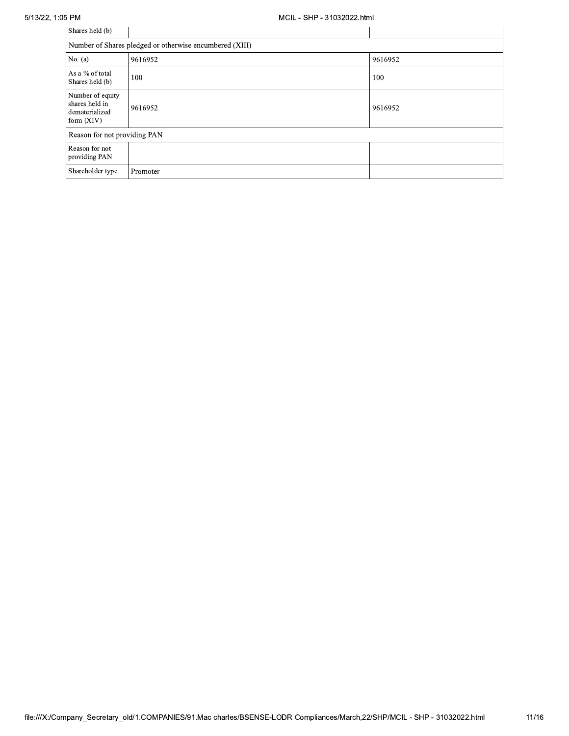| Shares held (b)                                                      |          |         |  |  |  |  |  |
|----------------------------------------------------------------------|----------|---------|--|--|--|--|--|
| Number of Shares pledged or otherwise encumbered (XIII)              |          |         |  |  |  |  |  |
| No. $(a)$                                                            | 9616952  | 9616952 |  |  |  |  |  |
| As a % of total<br>Shares held (b)                                   | 100      | 100     |  |  |  |  |  |
| Number of equity<br>shares held in<br>dematerialized<br>form $(XIV)$ | 9616952  | 9616952 |  |  |  |  |  |
| Reason for not providing PAN                                         |          |         |  |  |  |  |  |
| Reason for not<br>providing PAN                                      |          |         |  |  |  |  |  |
| Shareholder type                                                     | Promoter |         |  |  |  |  |  |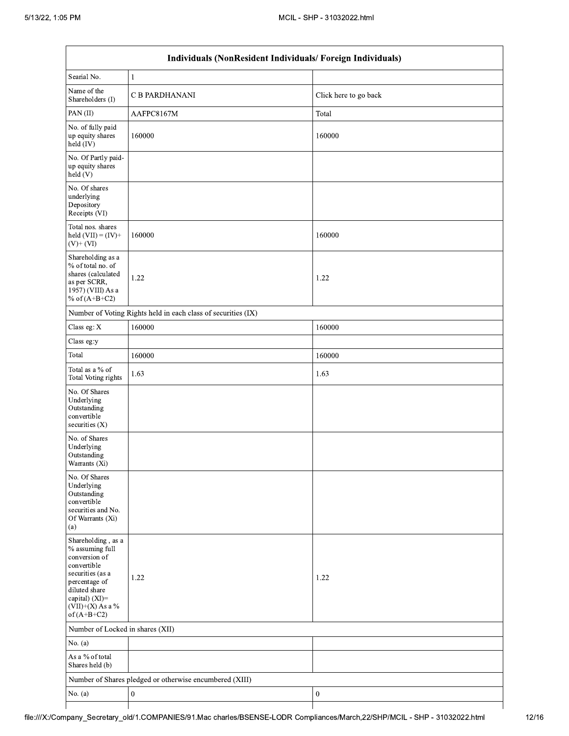| Individuals (NonResident Individuals/Foreign Individuals)                                                                                                                            |                                                               |                       |  |  |  |  |  |
|--------------------------------------------------------------------------------------------------------------------------------------------------------------------------------------|---------------------------------------------------------------|-----------------------|--|--|--|--|--|
| Searial No.                                                                                                                                                                          | $\mathbf{1}$                                                  |                       |  |  |  |  |  |
| Name of the<br>Shareholders (I)                                                                                                                                                      | <b>C B PARDHANANI</b>                                         | Click here to go back |  |  |  |  |  |
| PAN(II)                                                                                                                                                                              | AAFPC8167M                                                    | Total                 |  |  |  |  |  |
| No. of fully paid<br>up equity shares<br>held (IV)                                                                                                                                   | 160000                                                        | 160000                |  |  |  |  |  |
| No. Of Partly paid-<br>up equity shares<br>held(V)                                                                                                                                   |                                                               |                       |  |  |  |  |  |
| No. Of shares<br>underlying<br>Depository<br>Receipts (VI)                                                                                                                           |                                                               |                       |  |  |  |  |  |
| Total nos. shares<br>held $(VII) = (IV) +$<br>$(V)+(VI)$                                                                                                                             | 160000                                                        | 160000                |  |  |  |  |  |
| Shareholding as a<br>% of total no. of<br>shares (calculated<br>as per SCRR,<br>1957) (VIII) As a<br>% of $(A+B+C2)$                                                                 | 1.22                                                          | 1.22                  |  |  |  |  |  |
|                                                                                                                                                                                      | Number of Voting Rights held in each class of securities (IX) |                       |  |  |  |  |  |
| Class eg: X                                                                                                                                                                          | 160000                                                        | 160000                |  |  |  |  |  |
| Class eg:y                                                                                                                                                                           |                                                               |                       |  |  |  |  |  |
| Total                                                                                                                                                                                | 160000                                                        | 160000                |  |  |  |  |  |
| Total as a % of<br><b>Total Voting rights</b>                                                                                                                                        | 1.63                                                          | 1.63                  |  |  |  |  |  |
| No. Of Shares<br>Underlying<br>Outstanding<br>convertible<br>securities (X)                                                                                                          |                                                               |                       |  |  |  |  |  |
| No. of Shares<br>Underlying<br>Outstanding<br>Warrants (Xi)                                                                                                                          |                                                               |                       |  |  |  |  |  |
| No. Of Shares<br>Underlying<br>Outstanding<br>convertible<br>securities and No.<br>Of Warrants (Xi)<br>(a)                                                                           |                                                               |                       |  |  |  |  |  |
| Shareholding, as a<br>% assuming full<br>conversion of<br>convertible<br>securities (as a<br>percentage of<br>diluted share<br>capital) (XI)=<br>$(VII)+(X)$ As a %<br>of $(A+B+C2)$ | 1.22                                                          | 1.22                  |  |  |  |  |  |
| Number of Locked in shares (XII)                                                                                                                                                     |                                                               |                       |  |  |  |  |  |
| No. $(a)$                                                                                                                                                                            |                                                               |                       |  |  |  |  |  |
| As a % of total<br>Shares held (b)                                                                                                                                                   |                                                               |                       |  |  |  |  |  |
|                                                                                                                                                                                      | Number of Shares pledged or otherwise encumbered (XIII)       |                       |  |  |  |  |  |
| No. $(a)$                                                                                                                                                                            | $\boldsymbol{0}$                                              | $\boldsymbol{0}$      |  |  |  |  |  |
|                                                                                                                                                                                      |                                                               |                       |  |  |  |  |  |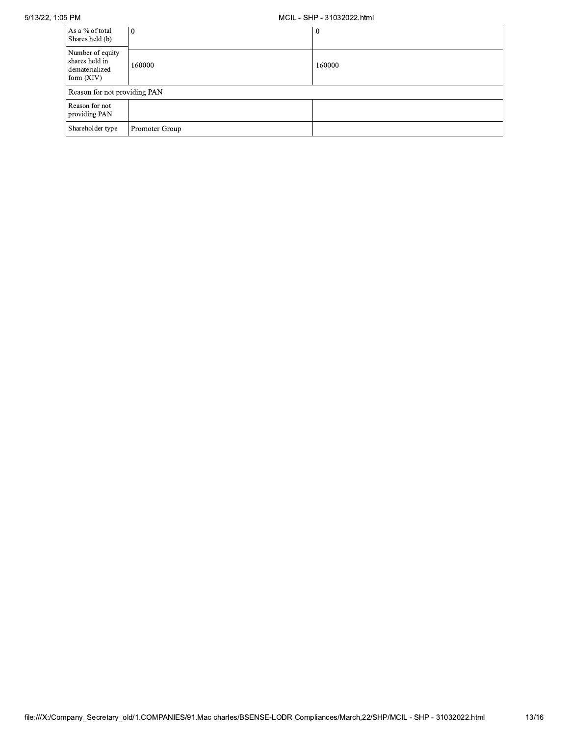5/13/22, 1.05 Pr

## MULL - SHP - 31032022.html

| As a % of total<br>Shares held (b)                                   | $\vert 0 \vert$ | l 0    |  |  |  |  |  |
|----------------------------------------------------------------------|-----------------|--------|--|--|--|--|--|
| Number of equity<br>shares held in<br>dematerialized<br>form $(XIV)$ | 160000          | 160000 |  |  |  |  |  |
| Reason for not providing PAN                                         |                 |        |  |  |  |  |  |
| Reason for not<br>providing PAN                                      |                 |        |  |  |  |  |  |
| Shareholder type                                                     | Promoter Group  |        |  |  |  |  |  |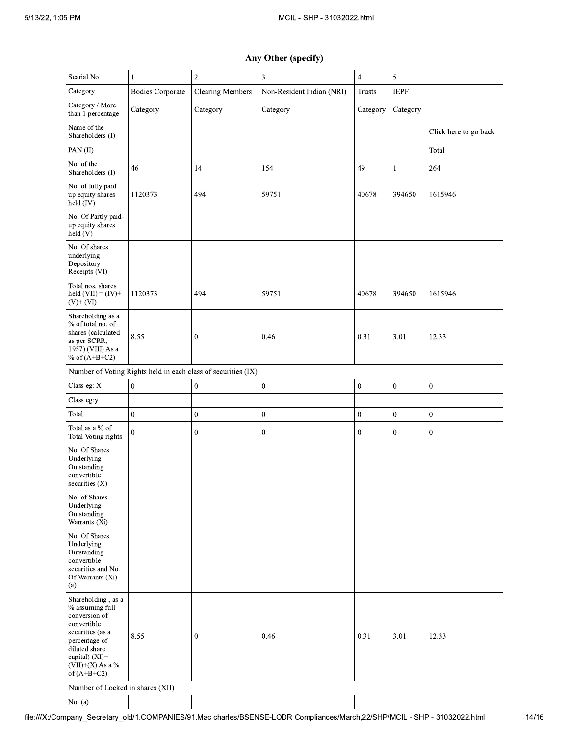| Any Other (specify)                                                                                                                                                                  |                         |                                                               |                                                                                                                |                  |              |                       |  |
|--------------------------------------------------------------------------------------------------------------------------------------------------------------------------------------|-------------------------|---------------------------------------------------------------|----------------------------------------------------------------------------------------------------------------|------------------|--------------|-----------------------|--|
| Searial No.                                                                                                                                                                          | $\mathbf{1}$            | $\overline{2}$                                                | 3                                                                                                              | $\overline{4}$   | 5            |                       |  |
| Category                                                                                                                                                                             | <b>Bodies Corporate</b> | <b>Clearing Members</b>                                       | Non-Resident Indian (NRI)                                                                                      | Trusts           | <b>IEPF</b>  |                       |  |
| Category / More<br>than 1 percentage                                                                                                                                                 | Category                | Category                                                      | Category                                                                                                       | Category         | Category     |                       |  |
| Name of the<br>Shareholders (I)                                                                                                                                                      |                         |                                                               |                                                                                                                |                  |              | Click here to go back |  |
| PAN(II)                                                                                                                                                                              |                         |                                                               |                                                                                                                |                  |              | Total                 |  |
| No. of the<br>Shareholders (I)                                                                                                                                                       | 46                      | 14                                                            | 154                                                                                                            | 49               | $\mathbf{1}$ | 264                   |  |
| No. of fully paid<br>up equity shares<br>held (IV)                                                                                                                                   | 1120373                 | 494                                                           | 59751                                                                                                          | 40678            | 394650       | 1615946               |  |
| No. Of Partly paid-<br>up equity shares<br>held (V)                                                                                                                                  |                         |                                                               |                                                                                                                |                  |              |                       |  |
| No. Of shares<br>underlying<br>Depository<br>Receipts (VI)                                                                                                                           |                         |                                                               |                                                                                                                |                  |              |                       |  |
| Total nos. shares<br>held $(VII) = (IV) +$<br>$(V)$ + $(VI)$                                                                                                                         | 1120373                 | 494                                                           | 59751                                                                                                          | 40678            | 394650       | 1615946               |  |
| Shareholding as a<br>% of total no. of<br>shares (calculated<br>as per SCRR,<br>1957) (VIII) As a<br>% of $(A+B+C2)$                                                                 | 8.55                    | $\boldsymbol{0}$                                              | 0.46                                                                                                           | 0.31             | 3.01         | 12.33                 |  |
|                                                                                                                                                                                      |                         | Number of Voting Rights held in each class of securities (IX) |                                                                                                                |                  |              |                       |  |
| Class eg: X                                                                                                                                                                          | $\mathbf{0}$            | $\boldsymbol{0}$                                              | $\boldsymbol{0}$                                                                                               | $\boldsymbol{0}$ | $\pmb{0}$    | $\boldsymbol{0}$      |  |
| Class eg:y                                                                                                                                                                           |                         |                                                               |                                                                                                                |                  |              |                       |  |
| Total                                                                                                                                                                                | $\boldsymbol{0}$        | $\mathbf{0}$                                                  | $\boldsymbol{0}$                                                                                               | $\mathbf{0}$     | $\mathbf{0}$ | $\boldsymbol{0}$      |  |
| Total as a % of<br>Total Voting rights                                                                                                                                               | $\mathbf{0}$            | $\boldsymbol{0}$                                              | $\boldsymbol{0}$                                                                                               | $\mathbf{0}$     | $\mathbf{0}$ | $\boldsymbol{0}$      |  |
| No. Of Shares<br>Underlying<br>Outstanding<br>convertible<br>securities $(X)$                                                                                                        |                         |                                                               |                                                                                                                |                  |              |                       |  |
| No. of Shares<br>Underlying<br>Outstanding<br>Warrants (Xi)                                                                                                                          |                         |                                                               |                                                                                                                |                  |              |                       |  |
| No. Of Shares<br>Underlying<br>Outstanding<br>convertible<br>securities and No.<br>Of Warrants (Xi)<br>(a)                                                                           |                         |                                                               |                                                                                                                |                  |              |                       |  |
| Shareholding, as a<br>% assuming full<br>conversion of<br>convertible<br>securities (as a<br>percentage of<br>diluted share<br>capital) (XI)=<br>$(VII)+(X)$ As a %<br>of $(A+B+C2)$ | 8.55                    | $\mathbf{0}$                                                  | 0.46                                                                                                           | 0.31             | 3.01         | 12.33                 |  |
| Number of Locked in shares (XII)                                                                                                                                                     |                         |                                                               |                                                                                                                |                  |              |                       |  |
| No. (a)                                                                                                                                                                              |                         |                                                               | npany_Secretary_old/1.COMPANIES/91.Mac charles/BSENSE-LODR Compliances/March,22/SHP/MCIL - SHP - 31032022.html |                  |              |                       |  |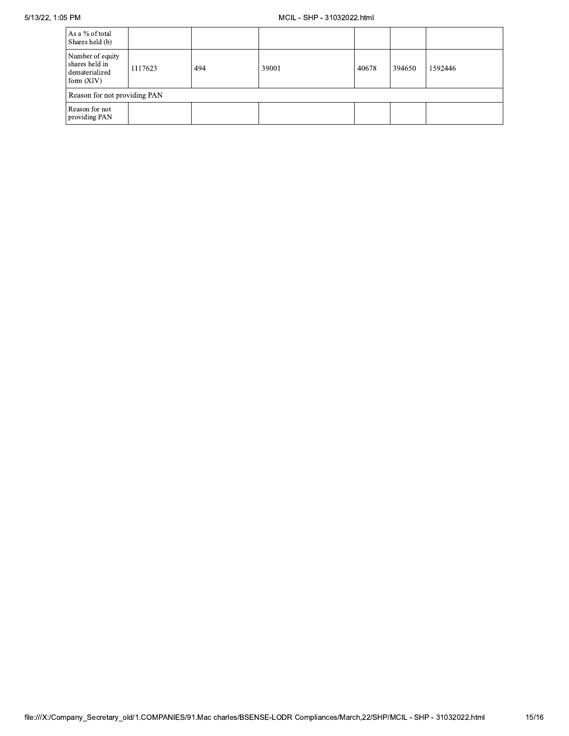| As a % of total<br>Shares held (b)                                   |         |     |       |       |        |         |  |  |
|----------------------------------------------------------------------|---------|-----|-------|-------|--------|---------|--|--|
| Number of equity<br>shares held in<br>dematerialized<br>form $(XIV)$ | 1117623 | 494 | 39001 | 40678 | 394650 | 1592446 |  |  |
| Reason for not providing PAN                                         |         |     |       |       |        |         |  |  |
| Reason for not<br>providing PAN                                      |         |     |       |       |        |         |  |  |